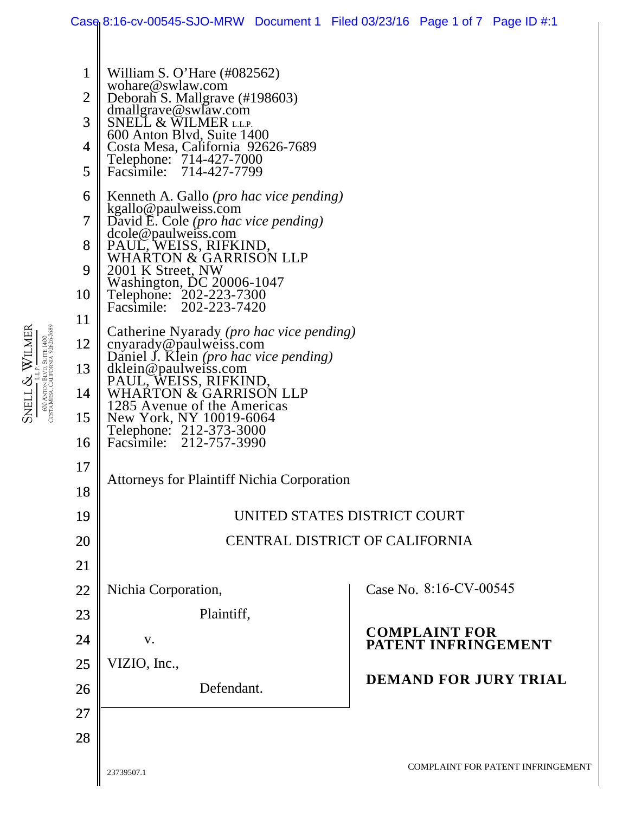|                                               | Case 8:16-cv-00545-SJO-MRW Document 1 Filed 03/23/16 Page 1 of 7 Page ID $\#$ :1                                                                                                                                                                                                                           |            |  |                                             |  |
|-----------------------------------------------|------------------------------------------------------------------------------------------------------------------------------------------------------------------------------------------------------------------------------------------------------------------------------------------------------------|------------|--|---------------------------------------------|--|
| $\mathbf{1}$<br>$\overline{2}$<br>3<br>4<br>5 | William S. O'Hare $(\text{\#082562})$<br>wohare@swlaw.com<br>Deborah S. Mallgrave (#198603)<br>dmallgrave@swlaw.com<br>SNELL & WILMER L.L.P.<br>600 Anton Blvd, Suite 1400<br>Costa Mesa, California 92626-7689<br>Telephone: 714-427-7000<br>714-427-7799<br>Facsimile:                                   |            |  |                                             |  |
| 6<br>7<br>8<br>9<br>10                        | Kenneth A. Gallo ( <i>pro hac vice pending</i> )<br>kgallo@paulweiss.com<br>David E. Cole (pro hac vice pending)<br>dcole@paulweiss.com<br>PAUL, WEISS, RIFKIND,<br>WHARTON & GARRISON LLP<br>2001 K Street, NW<br>Washington, DC 20006-1047<br>Telephone: 202-223-7300<br>202-223-7420<br>Facsimile:      |            |  |                                             |  |
| 11<br>12<br>13<br>14<br>15<br>16              | Catherine Nyarady (pro hac vice pending)<br>cnyarady@paulweiss.com<br>Daniel J. Klein (pro hac vice pending)<br>dklein@paulweiss.com<br>PAUL, WEISS, RIFKIND,<br>WHARTON & GARRISON LLP<br>1285 Avenue of the Americas<br>New York, NY 10019-6064<br>Telephone: 212-373-3000<br>212-757-3990<br>Facsimile: |            |  |                                             |  |
| 17<br>18                                      | <b>Attorneys for Plaintiff Nichia Corporation</b>                                                                                                                                                                                                                                                          |            |  |                                             |  |
| 19                                            | UNITED STATES DISTRICT COURT                                                                                                                                                                                                                                                                               |            |  |                                             |  |
| 20                                            | <b>CENTRAL DISTRICT OF CALIFORNIA</b>                                                                                                                                                                                                                                                                      |            |  |                                             |  |
| 21                                            |                                                                                                                                                                                                                                                                                                            |            |  |                                             |  |
| 22                                            | Nichia Corporation,                                                                                                                                                                                                                                                                                        |            |  | Case No. 8:16-CV-00545                      |  |
| 23                                            | Plaintiff,                                                                                                                                                                                                                                                                                                 |            |  |                                             |  |
| 24                                            | V.                                                                                                                                                                                                                                                                                                         |            |  | <b>COMPLAINT FOR</b><br>PATENT INFRINGEMENT |  |
| 25                                            | VIZIO, Inc.,                                                                                                                                                                                                                                                                                               |            |  |                                             |  |
| 26                                            |                                                                                                                                                                                                                                                                                                            | Defendant. |  | <b>DEMAND FOR JURY TRIAL</b>                |  |
| 27                                            |                                                                                                                                                                                                                                                                                                            |            |  |                                             |  |
| 28                                            |                                                                                                                                                                                                                                                                                                            |            |  |                                             |  |
|                                               | 23739507.1                                                                                                                                                                                                                                                                                                 |            |  | <b>COMPLAINT FOR PATENT INFRINGEMENT</b>    |  |

SNELL & WILME R L.L.P. 600 ANTON BLVD, SUITE 1400 COSTA MESA, CALIFORNIA 92626-7689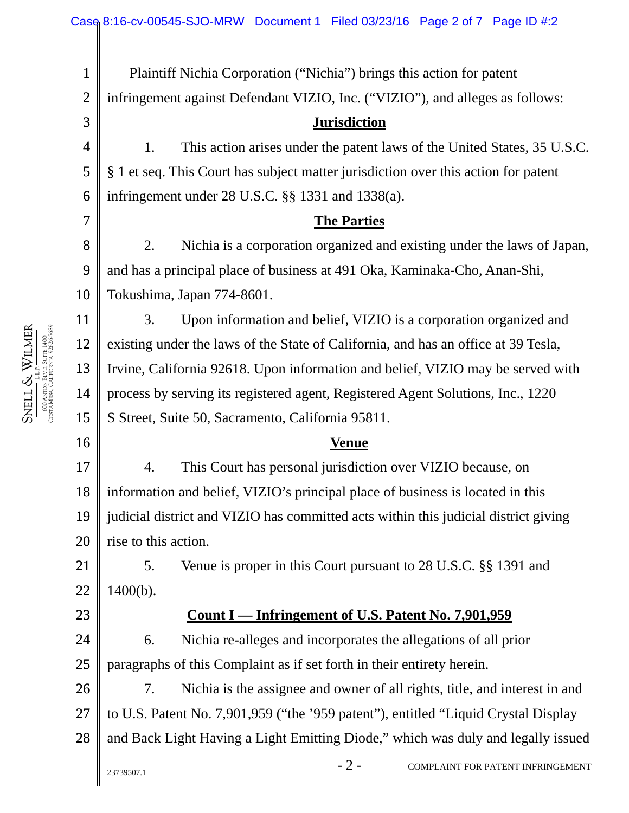$-2$  - COMPLAINT FOR PATENT INFRINGEMENT 1 2 3 4 5 6 7 8 9 10 11 12 13 14 15 16 17 18 19 20 21 22 23 24 25 26 27 28 Plaintiff Nichia Corporation ("Nichia") brings this action for patent infringement against Defendant VIZIO, Inc. ("VIZIO"), and alleges as follows: **Jurisdiction**  1. This action arises under the patent laws of the United States, 35 U.S.C. § 1 et seq. This Court has subject matter jurisdiction over this action for patent infringement under 28 U.S.C. §§ 1331 and 1338(a). **The Parties**  2. Nichia is a corporation organized and existing under the laws of Japan, and has a principal place of business at 491 Oka, Kaminaka-Cho, Anan-Shi, Tokushima, Japan 774-8601. 3. Upon information and belief, VIZIO is a corporation organized and existing under the laws of the State of California, and has an office at 39 Tesla, Irvine, California 92618. Upon information and belief, VIZIO may be served with process by serving its registered agent, Registered Agent Solutions, Inc., 1220 S Street, Suite 50, Sacramento, California 95811. **Venue**  4. This Court has personal jurisdiction over VIZIO because, on information and belief, VIZIO's principal place of business is located in this judicial district and VIZIO has committed acts within this judicial district giving rise to this action. 5. Venue is proper in this Court pursuant to 28 U.S.C. §§ 1391 and 1400(b). **Count I — Infringement of U.S. Patent No. 7,901,959**  6. Nichia re-alleges and incorporates the allegations of all prior paragraphs of this Complaint as if set forth in their entirety herein. 7. Nichia is the assignee and owner of all rights, title, and interest in and to U.S. Patent No. 7,901,959 ("the '959 patent"), entitled "Liquid Crystal Display and Back Light Having a Light Emitting Diode," which was duly and legally issued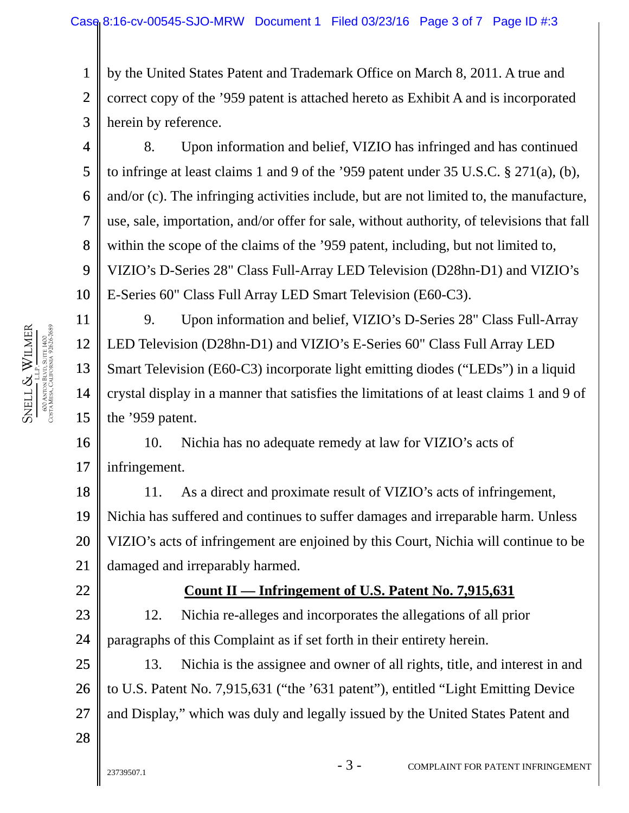1 2 3 by the United States Patent and Trademark Office on March 8, 2011. A true and correct copy of the '959 patent is attached hereto as Exhibit A and is incorporated herein by reference.

4 5 6 7 8 9 10 8. Upon information and belief, VIZIO has infringed and has continued to infringe at least claims 1 and 9 of the '959 patent under 35 U.S.C. § 271(a), (b), and/or (c). The infringing activities include, but are not limited to, the manufacture, use, sale, importation, and/or offer for sale, without authority, of televisions that fall within the scope of the claims of the '959 patent, including, but not limited to, VIZIO's D-Series 28" Class Full-Array LED Television (D28hn-D1) and VIZIO's E-Series 60" Class Full Array LED Smart Television (E60-C3).

11 12 13 14 15 9. Upon information and belief, VIZIO's D-Series 28" Class Full-Array LED Television (D28hn-D1) and VIZIO's E-Series 60" Class Full Array LED Smart Television (E60-C3) incorporate light emitting diodes ("LEDs") in a liquid crystal display in a manner that satisfies the limitations of at least claims 1 and 9 of the '959 patent.

16 17 10. Nichia has no adequate remedy at law for VIZIO's acts of infringement.

18 19 20 21 11. As a direct and proximate result of VIZIO's acts of infringement, Nichia has suffered and continues to suffer damages and irreparable harm. Unless VIZIO's acts of infringement are enjoined by this Court, Nichia will continue to be damaged and irreparably harmed.

## 22

## **Count II — Infringement of U.S. Patent No. 7,915,631**

23 24 12. Nichia re-alleges and incorporates the allegations of all prior paragraphs of this Complaint as if set forth in their entirety herein.

25 26 27 13. Nichia is the assignee and owner of all rights, title, and interest in and to U.S. Patent No. 7,915,631 ("the '631 patent"), entitled "Light Emitting Device and Display," which was duly and legally issued by the United States Patent and

SNELL & WILME R L.L.P. 600 ANTON BLVD, SUITE 1400 COSTA MESA, CALIFORNIA 92626-7689

28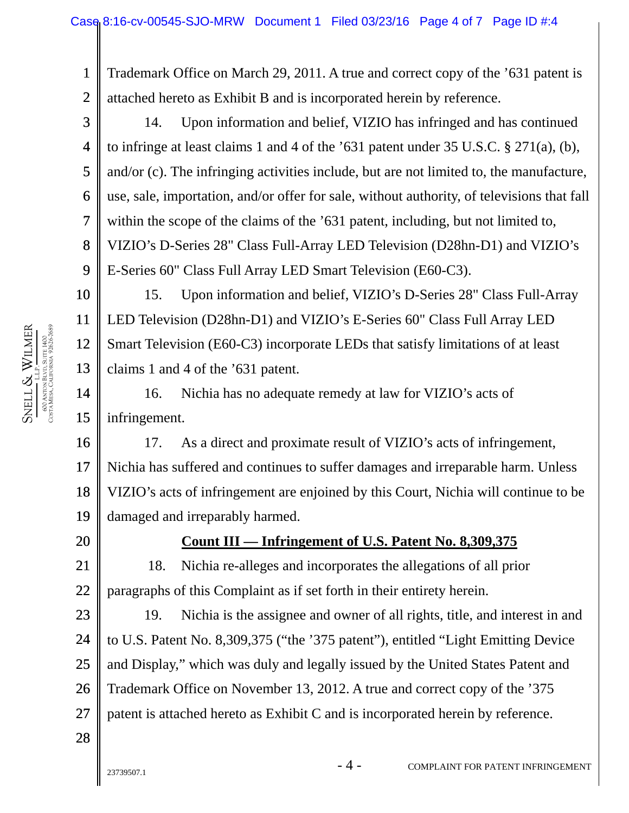1 2 Trademark Office on March 29, 2011. A true and correct copy of the '631 patent is attached hereto as Exhibit B and is incorporated herein by reference.

3 4 5 6 7 8 9 14. Upon information and belief, VIZIO has infringed and has continued to infringe at least claims 1 and 4 of the  $631$  patent under 35 U.S.C. § 271(a), (b), and/or (c). The infringing activities include, but are not limited to, the manufacture, use, sale, importation, and/or offer for sale, without authority, of televisions that fall within the scope of the claims of the '631 patent, including, but not limited to, VIZIO's D-Series 28" Class Full-Array LED Television (D28hn-D1) and VIZIO's E-Series 60" Class Full Array LED Smart Television (E60-C3).

10 11 12 13 15. Upon information and belief, VIZIO's D-Series 28" Class Full-Array LED Television (D28hn-D1) and VIZIO's E-Series 60" Class Full Array LED Smart Television (E60-C3) incorporate LEDs that satisfy limitations of at least claims 1 and 4 of the '631 patent.

14 15 16. Nichia has no adequate remedy at law for VIZIO's acts of infringement.

16 17 18 19 17. As a direct and proximate result of VIZIO's acts of infringement, Nichia has suffered and continues to suffer damages and irreparable harm. Unless VIZIO's acts of infringement are enjoined by this Court, Nichia will continue to be damaged and irreparably harmed.

20

## **Count III — Infringement of U.S. Patent No. 8,309,375**

21 22 18. Nichia re-alleges and incorporates the allegations of all prior paragraphs of this Complaint as if set forth in their entirety herein.

23 24 25 26 27 19. Nichia is the assignee and owner of all rights, title, and interest in and to U.S. Patent No. 8,309,375 ("the '375 patent"), entitled "Light Emitting Device and Display," which was duly and legally issued by the United States Patent and Trademark Office on November 13, 2012. A true and correct copy of the '375 patent is attached hereto as Exhibit C and is incorporated herein by reference.

MESA, CALIFORNIA 92626-7689 WILME R łvd, Suite 1400<br>.ifornia 92626-7689 600 ANTON BLVD, SUITE 1400 L.L.P. & SNELL COSTA

28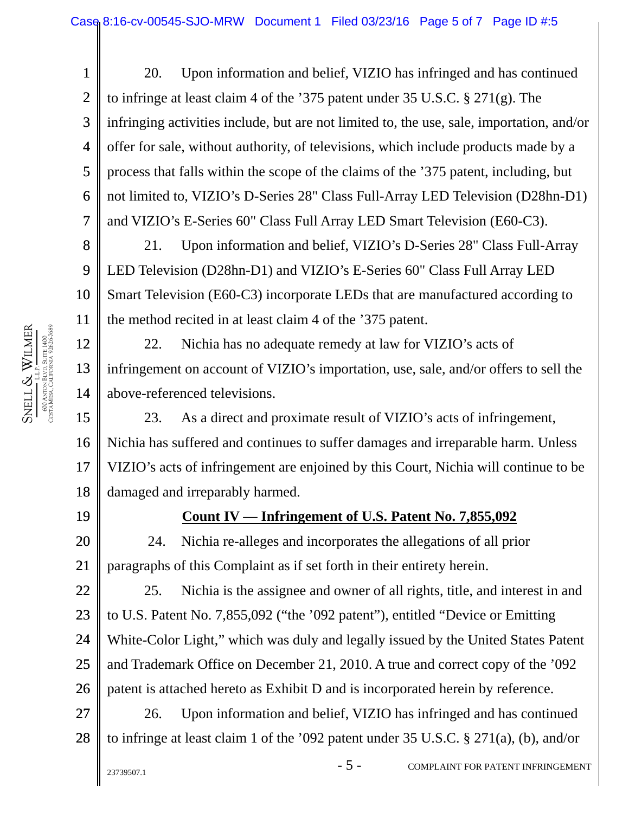1 2 3 4 5 6 7 20. Upon information and belief, VIZIO has infringed and has continued to infringe at least claim 4 of the '375 patent under 35 U.S.C. § 271(g). The infringing activities include, but are not limited to, the use, sale, importation, and/or offer for sale, without authority, of televisions, which include products made by a process that falls within the scope of the claims of the '375 patent, including, but not limited to, VIZIO's D-Series 28" Class Full-Array LED Television (D28hn-D1) and VIZIO's E-Series 60" Class Full Array LED Smart Television (E60-C3).

8 9 10 11 21. Upon information and belief, VIZIO's D-Series 28" Class Full-Array LED Television (D28hn-D1) and VIZIO's E-Series 60" Class Full Array LED Smart Television (E60-C3) incorporate LEDs that are manufactured according to the method recited in at least claim 4 of the '375 patent.

12 13 14 22. Nichia has no adequate remedy at law for VIZIO's acts of infringement on account of VIZIO's importation, use, sale, and/or offers to sell the above-referenced televisions.

15 16 17 18 23. As a direct and proximate result of VIZIO's acts of infringement, Nichia has suffered and continues to suffer damages and irreparable harm. Unless VIZIO's acts of infringement are enjoined by this Court, Nichia will continue to be damaged and irreparably harmed.

19

## **Count IV — Infringement of U.S. Patent No. 7,855,092**

21 24. Nichia re-alleges and incorporates the allegations of all prior paragraphs of this Complaint as if set forth in their entirety herein.

22 23 24 25 26 25. Nichia is the assignee and owner of all rights, title, and interest in and to U.S. Patent No. 7,855,092 ("the '092 patent"), entitled "Device or Emitting White-Color Light," which was duly and legally issued by the United States Patent and Trademark Office on December 21, 2010. A true and correct copy of the '092 patent is attached hereto as Exhibit D and is incorporated herein by reference.

27 28 26. Upon information and belief, VIZIO has infringed and has continued to infringe at least claim 1 of the '092 patent under 35 U.S.C. § 271(a), (b), and/or

20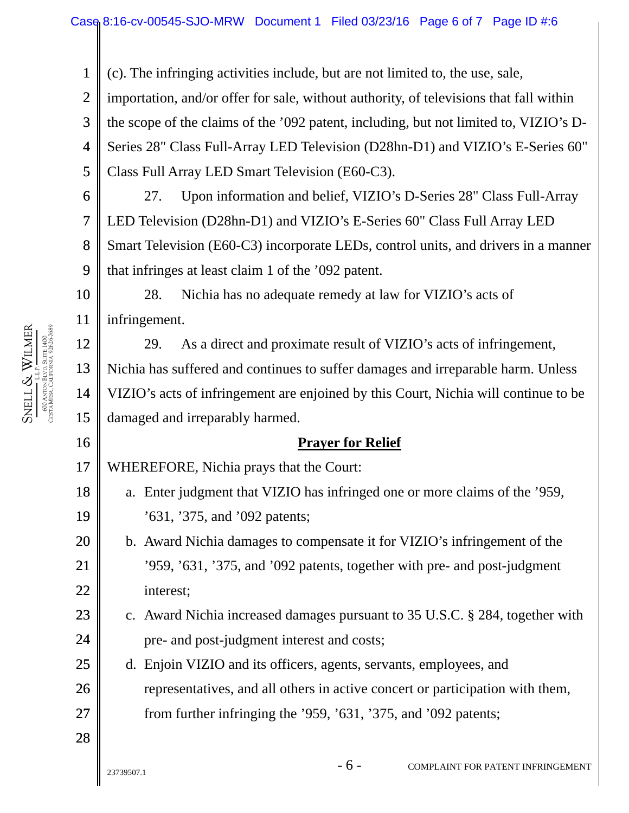1 2 3 4 5 6 7 8 9 10 11 12 13 14 15 16 17 18 19 20 21 22 23 24 25 26 27 28 (c). The infringing activities include, but are not limited to, the use, sale, importation, and/or offer for sale, without authority, of televisions that fall within the scope of the claims of the '092 patent, including, but not limited to, VIZIO's D-Series 28" Class Full-Array LED Television (D28hn-D1) and VIZIO's E-Series 60" Class Full Array LED Smart Television (E60-C3). 27. Upon information and belief, VIZIO's D-Series 28" Class Full-Array LED Television (D28hn-D1) and VIZIO's E-Series 60" Class Full Array LED Smart Television (E60-C3) incorporate LEDs, control units, and drivers in a manner that infringes at least claim 1 of the '092 patent. 28. Nichia has no adequate remedy at law for VIZIO's acts of infringement. 29. As a direct and proximate result of VIZIO's acts of infringement, Nichia has suffered and continues to suffer damages and irreparable harm. Unless VIZIO's acts of infringement are enjoined by this Court, Nichia will continue to be damaged and irreparably harmed. **Prayer for Relief**  WHEREFORE, Nichia prays that the Court: a. Enter judgment that VIZIO has infringed one or more claims of the '959, '631, '375, and '092 patents; b. Award Nichia damages to compensate it for VIZIO's infringement of the '959, '631, '375, and '092 patents, together with pre- and post-judgment interest; c. Award Nichia increased damages pursuant to 35 U.S.C. § 284, together with pre- and post-judgment interest and costs; d. Enjoin VIZIO and its officers, agents, servants, employees, and representatives, and all others in active concert or participation with them, from further infringing the '959, '631, '375, and '092 patents;